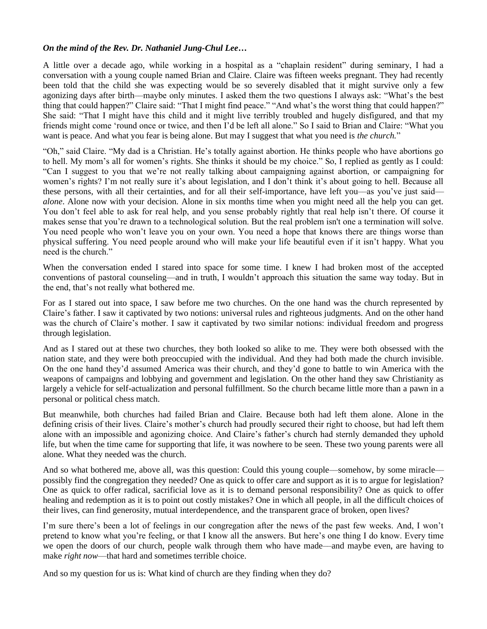## *On the mind of the Rev. Dr. Nathaniel Jung-Chul Lee…*

A little over a decade ago, while working in a hospital as a "chaplain resident" during seminary, I had a conversation with a young couple named Brian and Claire. Claire was fifteen weeks pregnant. They had recently been told that the child she was expecting would be so severely disabled that it might survive only a few agonizing days after birth––maybe only minutes. I asked them the two questions I always ask: "What's the best thing that could happen?" Claire said: "That I might find peace." "And what's the worst thing that could happen?" She said: "That I might have this child and it might live terribly troubled and hugely disfigured, and that my friends might come 'round once or twice, and then I'd be left all alone." So I said to Brian and Claire: "What you want is peace. And what you fear is being alone. But may I suggest that what you need is *the church.*"

"Oh," said Claire. "My dad is a Christian. He's totally against abortion. He thinks people who have abortions go to hell. My mom's all for women's rights. She thinks it should be my choice." So, I replied as gently as I could: "Can I suggest to you that we're not really talking about campaigning against abortion, or campaigning for women's rights? I'm not really sure it's about legislation, and I don't think it's about going to hell. Because all these persons, with all their certainties, and for all their self-importance, have left you—as you've just said *alone*. Alone now with your decision. Alone in six months time when you might need all the help you can get. You don't feel able to ask for real help, and you sense probably rightly that real help isn't there. Of course it makes sense that you're drawn to a technological solution. But the real problem isn't one a termination will solve. You need people who won't leave you on your own. You need a hope that knows there are things worse than physical suffering. You need people around who will make your life beautiful even if it isn't happy. What you need is the church."

When the conversation ended I stared into space for some time. I knew I had broken most of the accepted conventions of pastoral counseling––and in truth, I wouldn't approach this situation the same way today. But in the end, that's not really what bothered me.

For as I stared out into space, I saw before me two churches. On the one hand was the church represented by Claire's father. I saw it captivated by two notions: universal rules and righteous judgments. And on the other hand was the church of Claire's mother. I saw it captivated by two similar notions: individual freedom and progress through legislation.

And as I stared out at these two churches, they both looked so alike to me. They were both obsessed with the nation state, and they were both preoccupied with the individual. And they had both made the church invisible. On the one hand they'd assumed America was their church, and they'd gone to battle to win America with the weapons of campaigns and lobbying and government and legislation. On the other hand they saw Christianity as largely a vehicle for self-actualization and personal fulfillment. So the church became little more than a pawn in a personal or political chess match.

But meanwhile, both churches had failed Brian and Claire. Because both had left them alone. Alone in the defining crisis of their lives. Claire's mother's church had proudly secured their right to choose, but had left them alone with an impossible and agonizing choice. And Claire's father's church had sternly demanded they uphold life, but when the time came for supporting that life, it was nowhere to be seen. These two young parents were all alone. What they needed was the church.

And so what bothered me, above all, was this question: Could this young couple––somehow, by some miracle–– possibly find the congregation they needed? One as quick to offer care and support as it is to argue for legislation? One as quick to offer radical, sacrificial love as it is to demand personal responsibility? One as quick to offer healing and redemption as it is to point out costly mistakes? One in which all people, in all the difficult choices of their lives, can find generosity, mutual interdependence, and the transparent grace of broken, open lives?

I'm sure there's been a lot of feelings in our congregation after the news of the past few weeks. And, I won't pretend to know what you're feeling, or that I know all the answers. But here's one thing I do know. Every time we open the doors of our church, people walk through them who have made––and maybe even, are having to make *right now*—that hard and sometimes terrible choice.

And so my question for us is: What kind of church are they finding when they do?